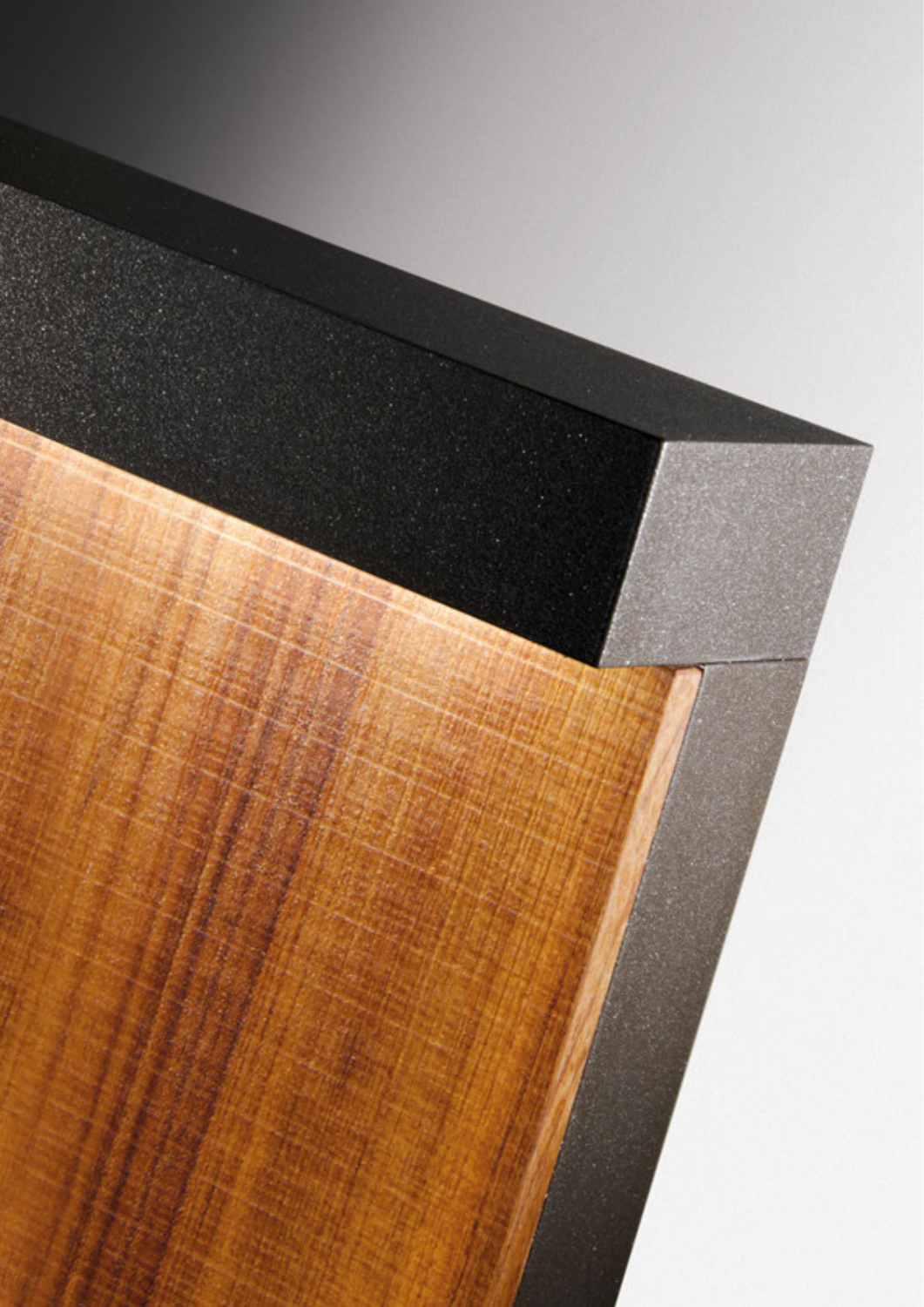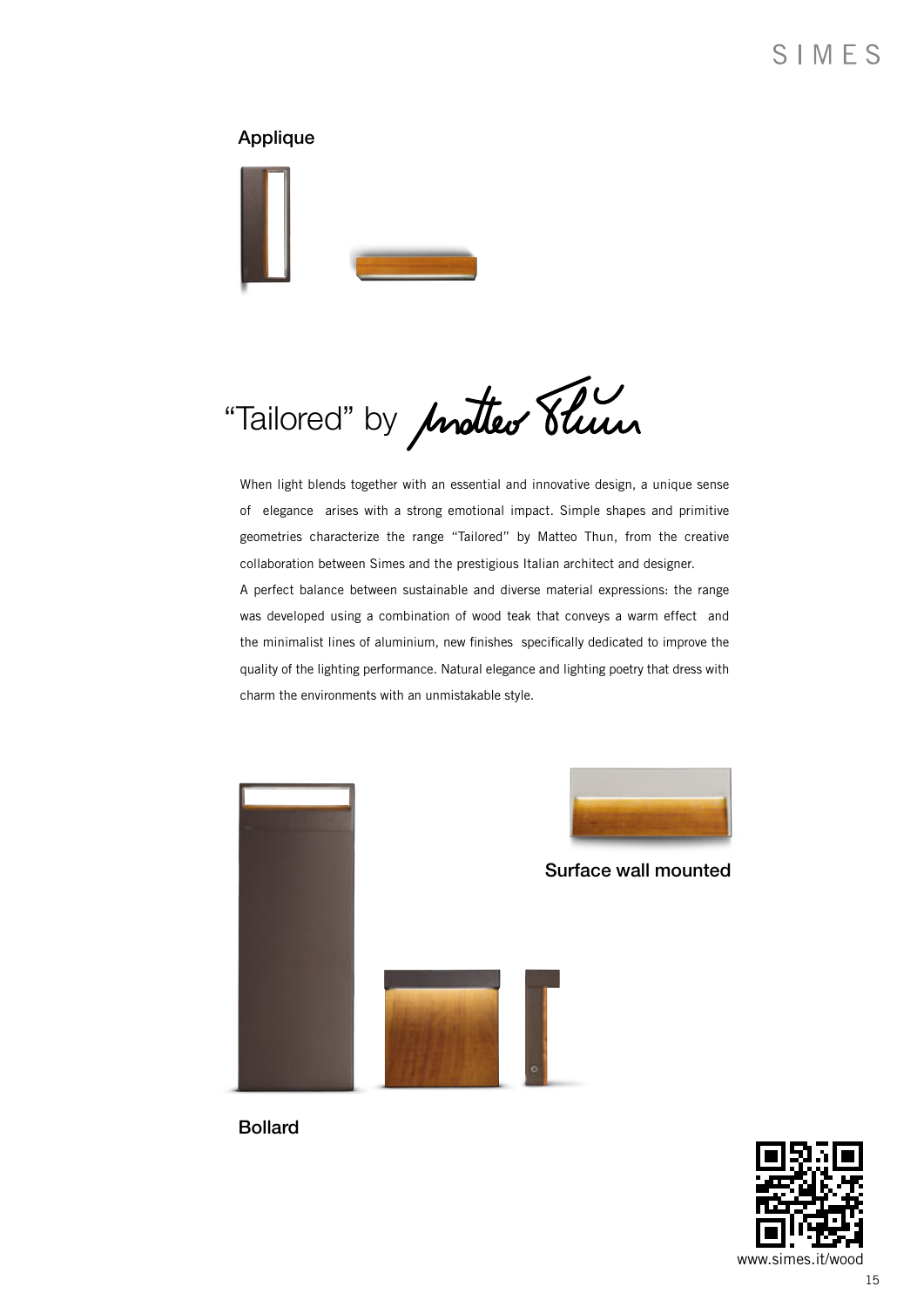# Applique



"Tailored" by *Indles* Thun

When light blends together with an essential and innovative design, a unique sense of elegance arises with a strong emotional impact. Simple shapes and primitive geometries characterize the range "Tailored" by Matteo Thun, from the creative collaboration between Simes and the prestigious Italian architect and designer. A perfect balance between sustainable and diverse material expressions: the range

was developed using a combination of wood teak that conveys a warm effect and the minimalist lines of aluminium, new finishes specifically dedicated to improve the quality of the lighting performance. Natural elegance and lighting poetry that dress with charm the environments with an unmistakable style.





Bollard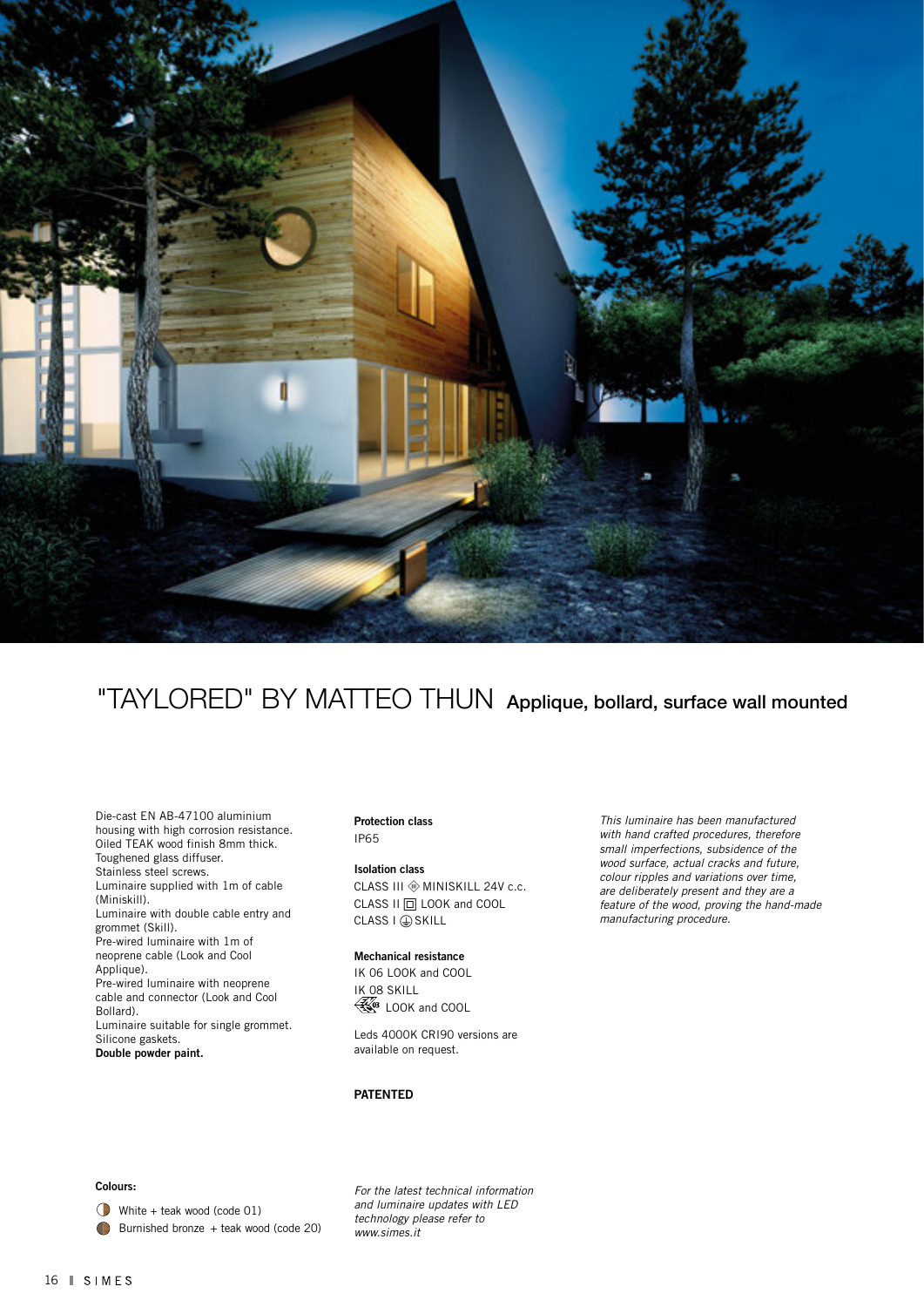

# "TAYLORED" BY MATTEO THUN Applique, bollard, surface wall mounted

Die-cast EN AB-47100 aluminium housing with high corrosion resistance. Oiled TEAK wood finish 8mm thick. Toughened glass diffuser. Stainless steel screws. Luminaire supplied with 1m of cable (Miniskill). Luminaire with double cable entry and grommet (Skill). Pre-wired luminaire with 1m of neoprene cable (Look and Cool Applique). Pre-wired luminaire with neoprene cable and connector (Look and Cool Bollard). Luminaire suitable for single grommet. Silicone gaskets. Double powder paint.

#### Protection class IP65

Isolation class CLASS III  $\circledast$  MINISKILL 24V c.c.  $CLASS II$   $\Box$   $LOOK$  and  $COOL$ 

#### Mechanical resistance

 $CLASS I @ SKILL$ 

IK 06 LOOK and COOL IK 08 SKILL  $\frac{1}{28}$ <sup>3</sup> LOOK and COOL

Leds 4000K CRI90 versions are available on request.

# PATENTED

*This luminaire has been manufactured with hand crafted procedures, therefore small imperfections, subsidence of the wood surface, actual cracks and future, colour ripples and variations over time, are deliberately present and they are a feature of the wood, proving the hand-made manufacturing procedure.* 

White + teak wood (code 01)

Burnished bronze + teak wood (code 20)

Colours: *For the latest technical information and luminaire updates with LED technology please refer to www.simes.it*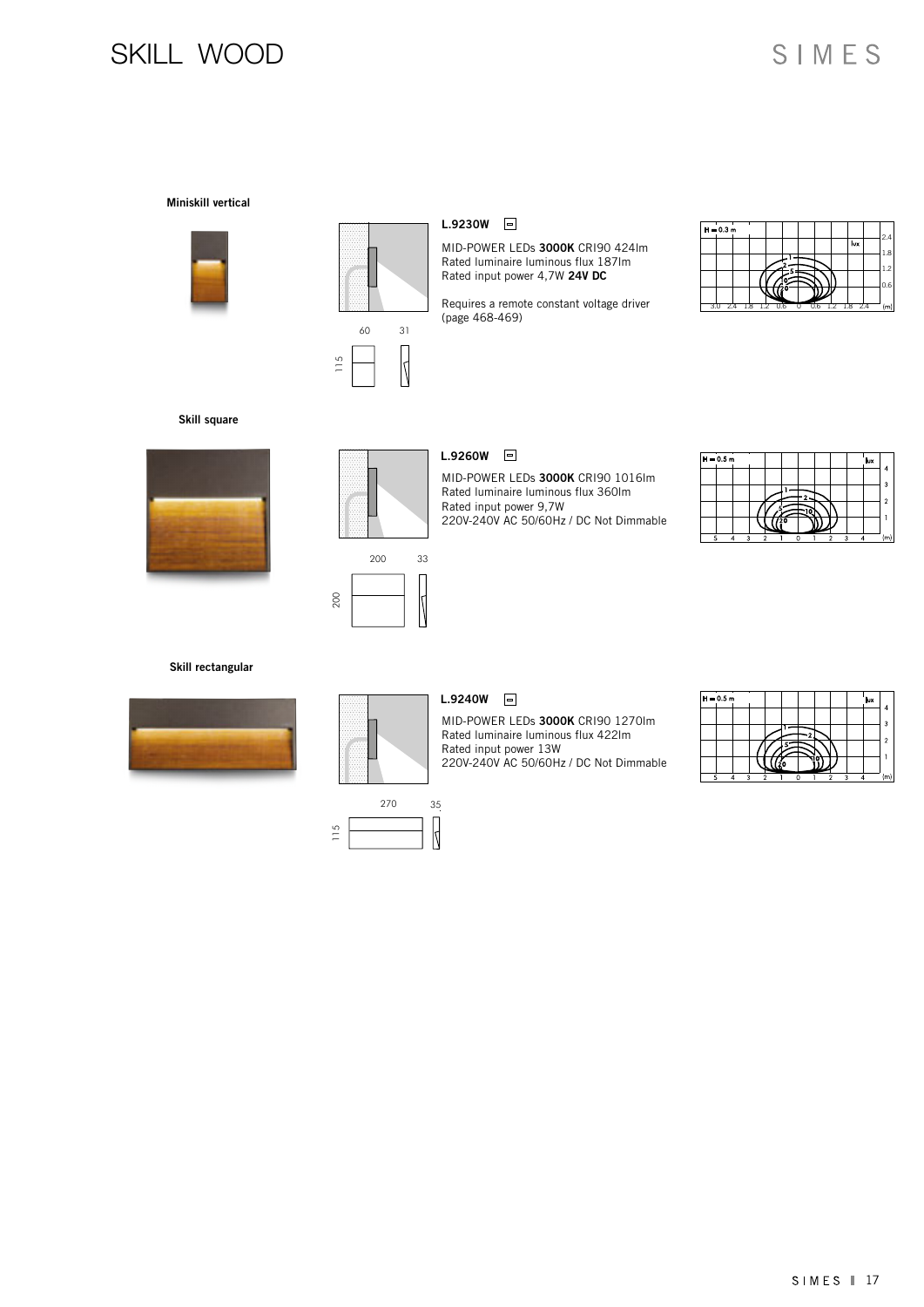# SKILL WOOD

# Miniskill vertical





# $L.9230W$   $\Box$

MID-POWER LEDs 3000K CRI90 424lm Rated luminaire luminous flux 187lm Rated input power 4,7W 24V DC

Requires a remote constant voltage driver (page 468-469)

| $H = 0.3 m$                   |  |  |     |               | 2.4 |
|-------------------------------|--|--|-----|---------------|-----|
|                               |  |  |     | lux           | 1.8 |
|                               |  |  |     |               | 1.2 |
|                               |  |  |     |               | 0.6 |
|                               |  |  |     |               |     |
| $3.0$ $2.4$ $1.8$ $1.2$ $0.6$ |  |  | 0.6 | $1.2$ 1.8 2.4 | (m) |

## Skill square







200

# $L.9260W$   $\Box$

MID-POWER LEDs 3000K CRI90 1016lm Rated luminaire luminous flux 360lm Rated input power 9,7W 220V-240V AC 50/60Hz / DC Not Dimmable

| $H = 0.5 m$ |         |   |  |        | lux |                |
|-------------|---------|---|--|--------|-----|----------------|
|             |         |   |  |        |     |                |
|             |         |   |  |        |     | 3              |
|             |         |   |  |        |     |                |
|             |         | ٠ |  |        |     | $\overline{2}$ |
|             |         |   |  |        |     |                |
| л           | 2<br>্ব |   |  | 2<br>з |     | m,             |

### Skill rectangular





# $L.9240W$   $\Box$

MID-POWER LEDs 3000K CRI90 1270lm Rated luminaire luminous flux 422lm Rated input power 13W 220V-240V AC 50/60Hz / DC Not Dimmable

| $H = 0.5 m$ |  |  |  |  |   | lux |    |
|-------------|--|--|--|--|---|-----|----|
|             |  |  |  |  |   |     |    |
|             |  |  |  |  |   |     | 3  |
|             |  |  |  |  |   |     |    |
|             |  |  |  |  |   |     | 2  |
|             |  |  |  |  |   |     |    |
|             |  |  |  |  |   |     |    |
|             |  |  |  |  | ۰ |     | m, |

# 270 35  $\sqrt{2}$ 115

# SIMES | 17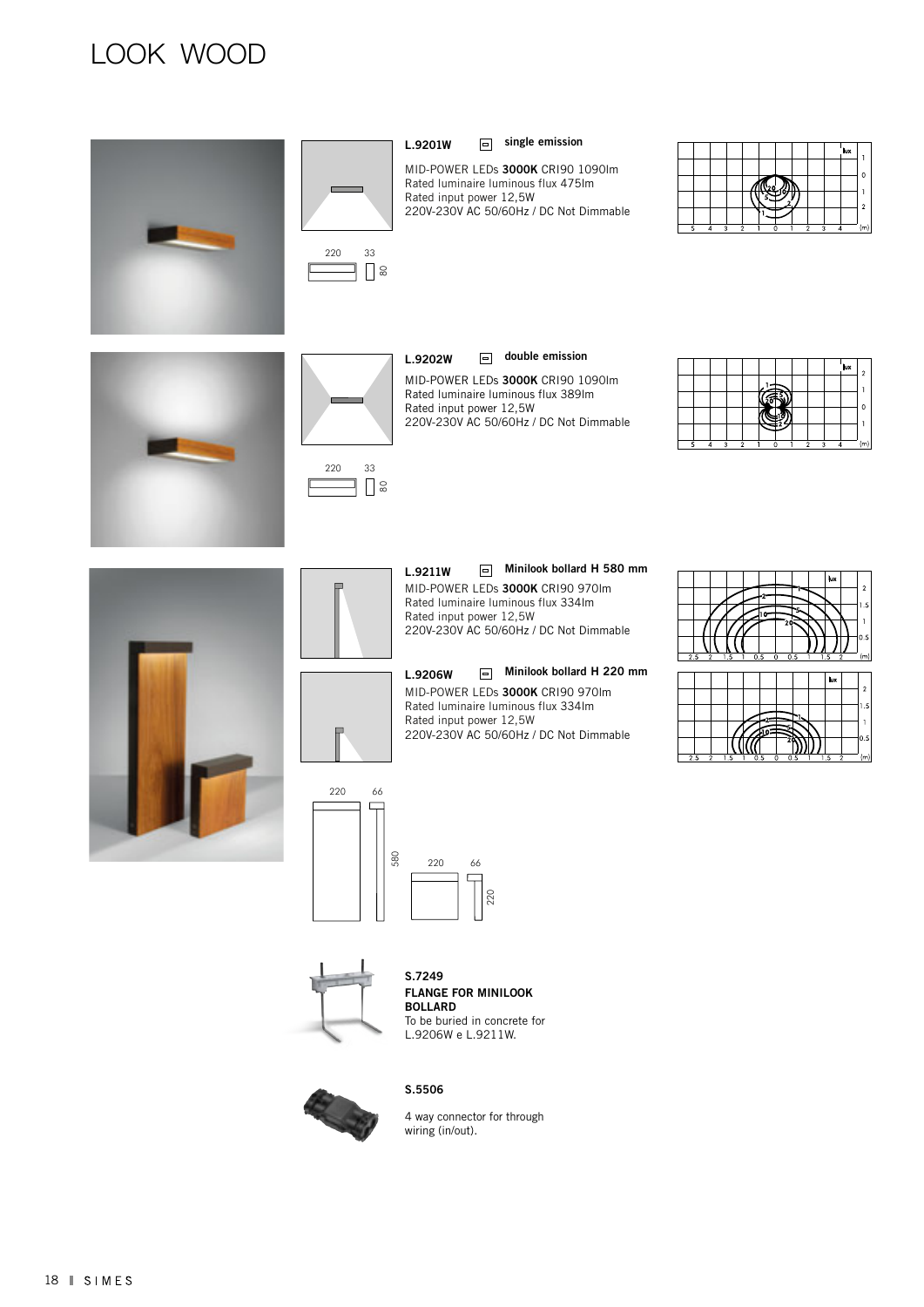# LOOK WOOD







L.9202W

## $\boxed{\lnot}$  single emission

MID-POWER LEDs 3000K CRI90 1090lm Rated luminaire luminous flux 475lm Rated input power 12,5W 220V-230V AC 50/60Hz / DC Not Dimmable

|   |   |   |  |  |   | lux |   |
|---|---|---|--|--|---|-----|---|
|   |   |   |  |  |   |     |   |
|   |   |   |  |  |   |     | 0 |
|   |   |   |  |  |   |     |   |
|   |   |   |  |  |   |     | 2 |
| c | c | ٠ |  |  | ٠ |     |   |

F







### double emission

MID-POWER LEDs 3000K CRI90 1090lm Rated luminaire luminous flux 389lm Rated input power 12,5W 220V-230V AC 50/60Hz / DC Not Dimmable

|  |   |  |  |   | lux |   |
|--|---|--|--|---|-----|---|
|  |   |  |  |   |     | 2 |
|  |   |  |  |   |     |   |
|  |   |  |  |   |     |   |
|  |   |  |  |   |     | ٢ |
|  |   |  |  |   |     |   |
|  |   |  |  |   |     |   |
|  | e |  |  | っ |     |   |





#### MID-POWER LEDs 3000K CRI90 970lm Rated luminaire luminous flux 334lm Rated input power 12,5W 220V-230V AC 50/60Hz / DC Not Dimmable  $\Box$  Minilook bollard H 580 mm L.9211W

Minilook bollard H 220 mm L.9206W

MID-POWER LEDs 3000K CRI90 970lm Rated luminaire luminous flux 334lm Rated input power 12,5W 220V-230V AC 50/60Hz / DC Not Dimmable

|     |                |     |          |    |                |     | lux |                |                         |
|-----|----------------|-----|----------|----|----------------|-----|-----|----------------|-------------------------|
|     |                |     |          |    |                |     |     |                | 2                       |
|     |                |     |          |    |                |     |     |                | 1.5                     |
|     |                |     |          | 10 | 20             |     |     |                | 1                       |
|     |                |     |          |    |                |     |     |                | 0.5                     |
|     |                |     |          |    |                |     |     |                |                         |
| 2.5 | $\overline{2}$ | 1.5 | 0.5<br>ī |    | $\overline{0}$ | 0.5 | 1.5 | $\overline{c}$ | (m)                     |
|     |                |     |          |    |                |     |     |                |                         |
|     |                |     |          |    |                |     |     |                |                         |
|     |                |     |          |    |                |     | lux |                |                         |
|     |                |     |          |    |                |     |     |                | $\overline{\mathbf{2}}$ |
|     |                |     |          |    |                |     |     |                |                         |
|     |                |     |          |    |                |     |     |                |                         |
|     |                |     |          | 10 |                |     |     |                | 1                       |
|     |                |     |          |    | 2Ο             |     |     |                | 1.5<br>0.5<br>(m)       |





FLANGE FOR MINILOOK BOLLARD To be buried in concrete for L.9206W e L.9211W. S.7249



S.5506

4 way connector for through wiring (in/out).